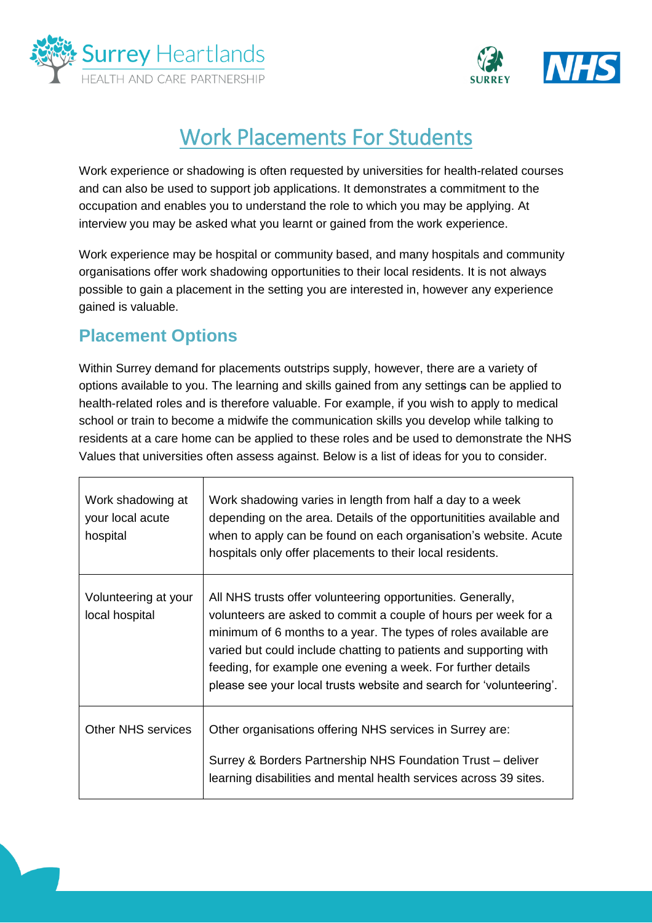



## Work Placements For Students

Work experience or shadowing is often requested by universities for health-related courses and can also be used to support job applications. It demonstrates a commitment to the occupation and enables you to understand the role to which you may be applying. At interview you may be asked what you learnt or gained from the work experience.

Work experience may be hospital or community based, and many hospitals and community organisations offer work shadowing opportunities to their local residents. It is not always possible to gain a placement in the setting you are interested in, however any experience gained is valuable.

## **Placement Options**

Within Surrey demand for placements outstrips supply, however, there are a variety of options available to you. The learning and skills gained from any settings can be applied to health-related roles and is therefore valuable. For example, if you wish to apply to medical school or train to become a midwife the communication skills you develop while talking to residents at a care home can be applied to these roles and be used to demonstrate the NHS Values that universities often assess against. Below is a list of ideas for you to consider.

| Work shadowing at<br>your local acute<br>hospital | Work shadowing varies in length from half a day to a week<br>depending on the area. Details of the opportunitities available and<br>when to apply can be found on each organisation's website. Acute<br>hospitals only offer placements to their local residents.                                                                                                                                             |
|---------------------------------------------------|---------------------------------------------------------------------------------------------------------------------------------------------------------------------------------------------------------------------------------------------------------------------------------------------------------------------------------------------------------------------------------------------------------------|
| Volunteering at your<br>local hospital            | All NHS trusts offer volunteering opportunities. Generally,<br>volunteers are asked to commit a couple of hours per week for a<br>minimum of 6 months to a year. The types of roles available are<br>varied but could include chatting to patients and supporting with<br>feeding, for example one evening a week. For further details<br>please see your local trusts website and search for 'volunteering'. |
| <b>Other NHS services</b>                         | Other organisations offering NHS services in Surrey are:<br>Surrey & Borders Partnership NHS Foundation Trust – deliver<br>learning disabilities and mental health services across 39 sites.                                                                                                                                                                                                                  |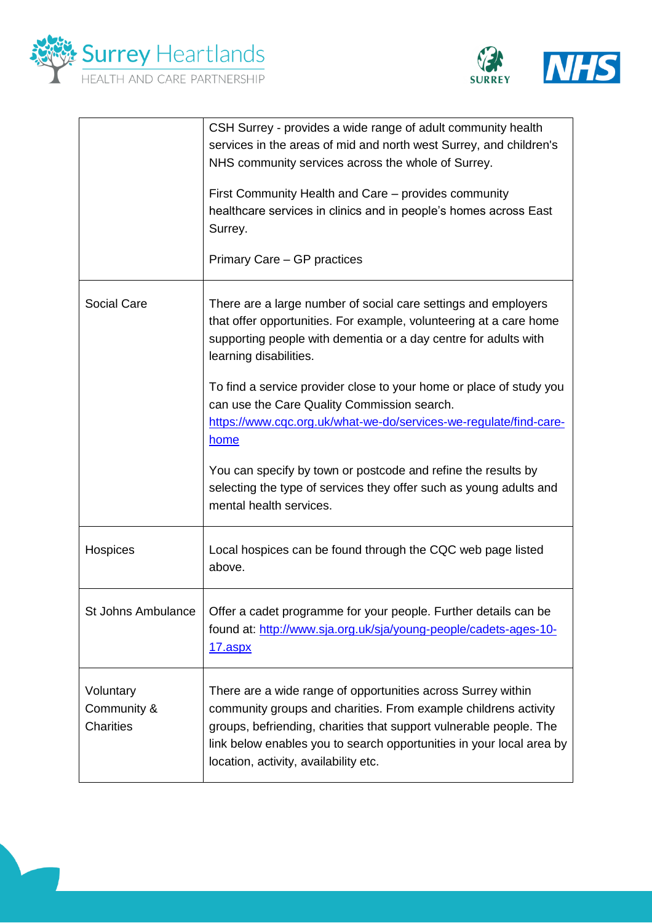



|                                              | CSH Surrey - provides a wide range of adult community health<br>services in the areas of mid and north west Surrey, and children's<br>NHS community services across the whole of Surrey.<br>First Community Health and Care – provides community<br>healthcare services in clinics and in people's homes across East<br>Surrey.<br>Primary Care - GP practices                                                                                                                                               |
|----------------------------------------------|--------------------------------------------------------------------------------------------------------------------------------------------------------------------------------------------------------------------------------------------------------------------------------------------------------------------------------------------------------------------------------------------------------------------------------------------------------------------------------------------------------------|
| Social Care                                  | There are a large number of social care settings and employers<br>that offer opportunities. For example, volunteering at a care home<br>supporting people with dementia or a day centre for adults with<br>learning disabilities.<br>To find a service provider close to your home or place of study you<br>can use the Care Quality Commission search.<br>https://www.cqc.org.uk/what-we-do/services-we-regulate/find-care-<br><u>home</u><br>You can specify by town or postcode and refine the results by |
|                                              | selecting the type of services they offer such as young adults and<br>mental health services.                                                                                                                                                                                                                                                                                                                                                                                                                |
| Hospices                                     | Local hospices can be found through the CQC web page listed<br>above.                                                                                                                                                                                                                                                                                                                                                                                                                                        |
| <b>St Johns Ambulance</b>                    | Offer a cadet programme for your people. Further details can be<br>found at: http://www.sja.org.uk/sja/young-people/cadets-ages-10-<br><u>17.aspx</u>                                                                                                                                                                                                                                                                                                                                                        |
| Voluntary<br>Community &<br><b>Charities</b> | There are a wide range of opportunities across Surrey within<br>community groups and charities. From example childrens activity<br>groups, befriending, charities that support vulnerable people. The<br>link below enables you to search opportunities in your local area by<br>location, activity, availability etc.                                                                                                                                                                                       |